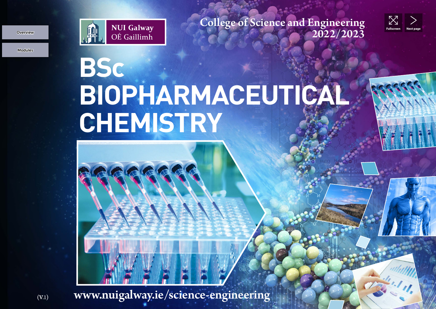**Modules Overview**



College of Science and Engineering<br>2022/2023



## **BSc BIOPHARMACEUTICAL CHEMISTRY**

 $B_{(V,1)}$  www.nuigalway.ie/science-engineering, NUI Galway.ie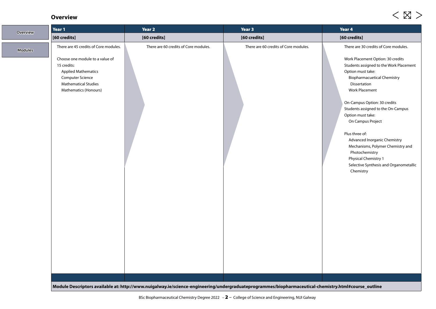## **Overview**

| <b>Overview</b> | Year 1                                                                                                                                                                                                   | Year 2                                                                                                                                               | Year 3                                | Year 4                                                                                                                                                                                                                                                                                                                                                                                                                                                                                                                                   |
|-----------------|----------------------------------------------------------------------------------------------------------------------------------------------------------------------------------------------------------|------------------------------------------------------------------------------------------------------------------------------------------------------|---------------------------------------|------------------------------------------------------------------------------------------------------------------------------------------------------------------------------------------------------------------------------------------------------------------------------------------------------------------------------------------------------------------------------------------------------------------------------------------------------------------------------------------------------------------------------------------|
|                 | [60 credits]                                                                                                                                                                                             | [60 credits]                                                                                                                                         | [60 credits]                          | [60 credits]                                                                                                                                                                                                                                                                                                                                                                                                                                                                                                                             |
| <b>Modules</b>  | There are 45 credits of Core modules.<br>Choose one module to a value of<br>15 credits:<br><b>Applied Mathematics</b><br><b>Computer Science</b><br><b>Mathematical Studies</b><br>Mathematics (Honours) | There are 60 credits of Core modules.                                                                                                                | There are 60 credits of Core modules. | There are 30 credits of Core modules.<br>Work Placement Option: 30 credits<br>Students assigned to the Work Placement<br>Option must take:<br><b>Biopharmacuetical Chemistry</b><br>Dissertation<br><b>Work Placement</b><br>On-Campus Option: 30 credits<br>Students assigned to the On-Campus<br>Option must take:<br>On Campus Project<br>Plus three of:<br>Advanced Inorganic Chemistry<br>Mechanisms, Polymer Chemistry and<br>Photochemistry<br><b>Physical Chemistry 1</b><br>Selective Synthesis and Organometallic<br>Chemistry |
|                 |                                                                                                                                                                                                          | Module Descriptors available at: http://www.nuigalway.ie/science-engineering/undergraduateprogrammes/biopharmaceutical-chemistry.html#course_outline |                                       |                                                                                                                                                                                                                                                                                                                                                                                                                                                                                                                                          |